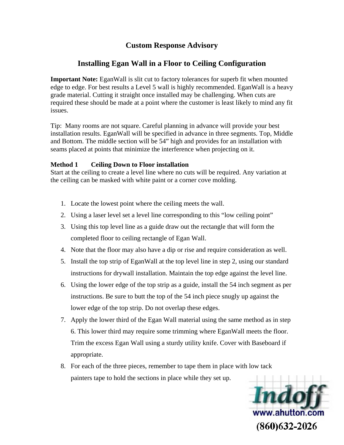# **Custom Response Advisory**

# **Installing Egan Wall in a Floor to Ceiling Configuration**

**Important Note:** EganWall is slit cut to factory tolerances for superb fit when mounted edge to edge. For best results a Level 5 wall is highly recommended. EganWall is a heavy grade material. Cutting it straight once installed may be challenging. When cuts are required these should be made at a point where the customer is least likely to mind any fit issues.

Tip: Many rooms are not square. Careful planning in advance will provide your best installation results. EganWall will be specified in advance in three segments. Top, Middle and Bottom. The middle section will be 54" high and provides for an installation with seams placed at points that minimize the interference when projecting on it.

#### **Method 1 Ceiling Down to Floor installation**

Start at the ceiling to create a level line where no cuts will be required. Any variation at the ceiling can be masked with white paint or a corner cove molding.

- 1. Locate the lowest point where the ceiling meets the wall.
- 2. Using a laser level set a level line corresponding to this "low ceiling point"
- 3. Using this top level line as a guide draw out the rectangle that will form the completed floor to ceiling rectangle of Egan Wall.
- 4. Note that the floor may also have a dip or rise and require consideration as well.
- 5. Install the top strip of EganWall at the top level line in step 2, using our standard instructions for drywall installation. Maintain the top edge against the level line.
- 6. Using the lower edge of the top strip as a guide, install the 54 inch segment as per instructions. Be sure to butt the top of the 54 inch piece snugly up against the lower edge of the top strip. Do not overlap these edges.
- 7. Apply the lower third of the Egan Wall material using the same method as in step 6. This lower third may require some trimming where EganWall meets the floor. Trim the excess Egan Wall using a sturdy utility knife. Cover with Baseboard if appropriate.
- 8. For each of the three pieces, remember to tape them in place with low tack painters tape to hold the sections in place while they set up.

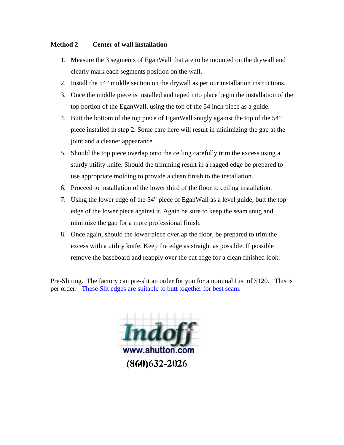### **Method 2 Center of wall installation**

- 1. Measure the 3 segments of EganWall that are to be mounted on the drywall and clearly mark each segments position on the wall.
- 2. Install the 54" middle section on the drywall as per our installation instructions.
- 3. Once the middle piece is installed and taped into place begin the installation of the top portion of the EganWall, using the top of the 54 inch piece as a guide.
- 4. Butt the bottom of the top piece of EganWall snugly against the top of the 54" piece installed in step 2. Some care here will result in minimizing the gap at the joint and a cleaner appearance.
- 5. Should the top piece overlap onto the ceiling carefully trim the excess using a sturdy utility knife. Should the trimming result in a ragged edge be prepared to use appropriate molding to provide a clean finish to the installation.
- 6. Proceed to installation of the lower third of the floor to ceiling installation.
- 7. Using the lower edge of the 54" piece of EganWall as a level guide, butt the top edge of the lower piece against it. Again be sure to keep the seam snug and minimize the gap for a more professional finish.
- 8. Once again, should the lower piece overlap the floor, be prepared to trim the excess with a utility knife. Keep the edge as straight as possible. If possible remove the baseboard and reapply over the cut edge for a clean finished look.

Pre-Slitting. The factory can pre-slit an order for you for a nominal List of \$120. This is per order. These Slit edges are suitable to butt together for best seam.